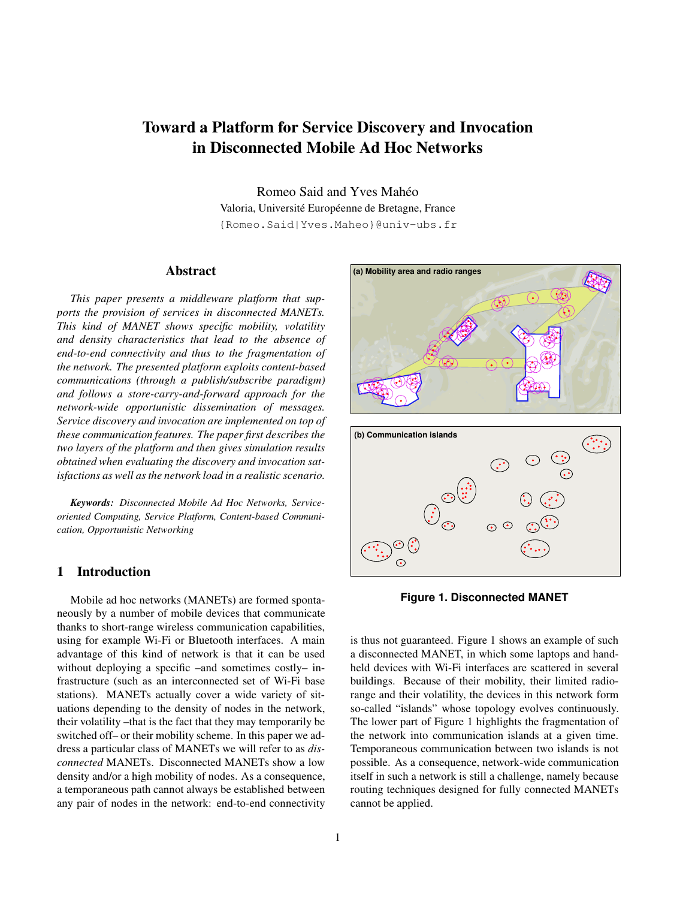# **Toward a Platform for Service Discovery and Invocation in Disconnected Mobile Ad Hoc Networks**

Romeo Said and Yves Mahéo

Valoria, Université Européenne de Bretagne, France

{Romeo.Said|Yves.Maheo}@univ-ubs.fr

## **Abstract**

*This paper presents a middleware platform that supports the provision of services in disconnected MANETs. This kind of MANET shows specific mobility, volatility and density characteristics that lead to the absence of end-to-end connectivity and thus to the fragmentation of the network. The presented platform exploits content-based communications (through a publish/subscribe paradigm) and follows a store-carry-and-forward approach for the network-wide opportunistic dissemination of messages. Service discovery and invocation are implemented on top of these communication features. The paper first describes the two layers of the platform and then gives simulation results obtained when evaluating the discovery and invocation satisfactions as well as the network load in a realistic scenario.*

*Keywords: Disconnected Mobile Ad Hoc Networks, Serviceoriented Computing, Service Platform, Content-based Communication, Opportunistic Networking*

## **1 Introduction**

Mobile ad hoc networks (MANETs) are formed spontaneously by a number of mobile devices that communicate thanks to short-range wireless communication capabilities, using for example Wi-Fi or Bluetooth interfaces. A main advantage of this kind of network is that it can be used without deploying a specific –and sometimes costly– infrastructure (such as an interconnected set of Wi-Fi base stations). MANETs actually cover a wide variety of situations depending to the density of nodes in the network, their volatility –that is the fact that they may temporarily be switched off– or their mobility scheme. In this paper we address a particular class of MANETs we will refer to as *disconnected* MANETs. Disconnected MANETs show a low density and/or a high mobility of nodes. As a consequence, a temporaneous path cannot always be established between any pair of nodes in the network: end-to-end connectivity



**Figure 1. Disconnected MANET**

is thus not guaranteed. Figure 1 shows an example of such a disconnected MANET, in which some laptops and handheld devices with Wi-Fi interfaces are scattered in several buildings. Because of their mobility, their limited radiorange and their volatility, the devices in this network form so-called "islands" whose topology evolves continuously. The lower part of Figure 1 highlights the fragmentation of the network into communication islands at a given time. Temporaneous communication between two islands is not possible. As a consequence, network-wide communication itself in such a network is still a challenge, namely because routing techniques designed for fully connected MANETs cannot be applied.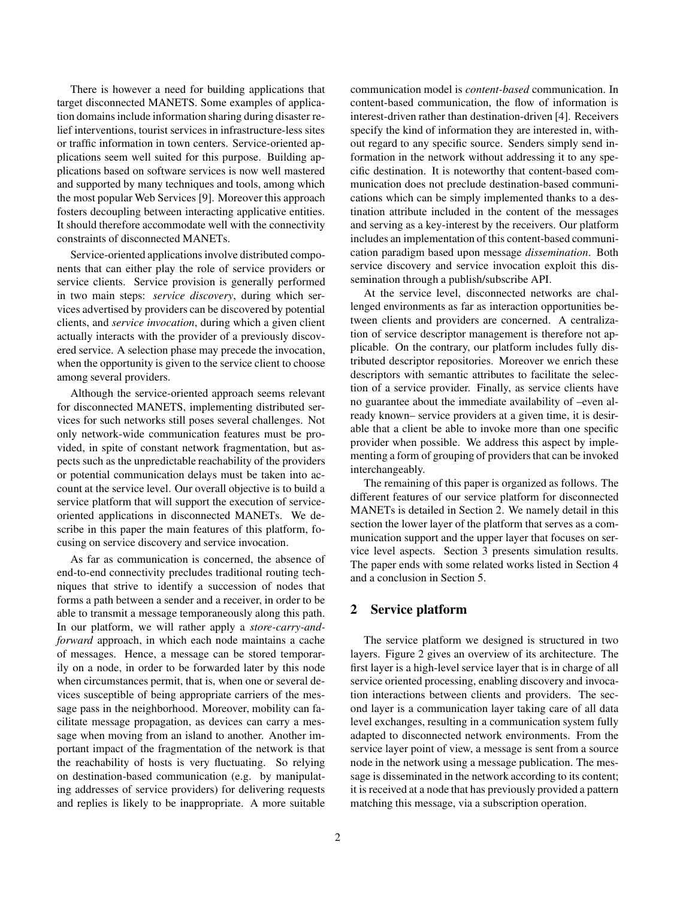There is however a need for building applications that target disconnected MANETS. Some examples of application domains include information sharing during disaster relief interventions, tourist services in infrastructure-less sites or traffic information in town centers. Service-oriented applications seem well suited for this purpose. Building applications based on software services is now well mastered and supported by many techniques and tools, among which the most popular Web Services [9]. Moreover this approach fosters decoupling between interacting applicative entities. It should therefore accommodate well with the connectivity constraints of disconnected MANETs.

Service-oriented applications involve distributed components that can either play the role of service providers or service clients. Service provision is generally performed in two main steps: *service discovery*, during which services advertised by providers can be discovered by potential clients, and *service invocation*, during which a given client actually interacts with the provider of a previously discovered service. A selection phase may precede the invocation, when the opportunity is given to the service client to choose among several providers.

Although the service-oriented approach seems relevant for disconnected MANETS, implementing distributed services for such networks still poses several challenges. Not only network-wide communication features must be provided, in spite of constant network fragmentation, but aspects such as the unpredictable reachability of the providers or potential communication delays must be taken into account at the service level. Our overall objective is to build a service platform that will support the execution of serviceoriented applications in disconnected MANETs. We describe in this paper the main features of this platform, focusing on service discovery and service invocation.

As far as communication is concerned, the absence of end-to-end connectivity precludes traditional routing techniques that strive to identify a succession of nodes that forms a path between a sender and a receiver, in order to be able to transmit a message temporaneously along this path. In our platform, we will rather apply a *store-carry-andforward* approach, in which each node maintains a cache of messages. Hence, a message can be stored temporarily on a node, in order to be forwarded later by this node when circumstances permit, that is, when one or several devices susceptible of being appropriate carriers of the message pass in the neighborhood. Moreover, mobility can facilitate message propagation, as devices can carry a message when moving from an island to another. Another important impact of the fragmentation of the network is that the reachability of hosts is very fluctuating. So relying on destination-based communication (e.g. by manipulating addresses of service providers) for delivering requests and replies is likely to be inappropriate. A more suitable

communication model is *content-based* communication. In content-based communication, the flow of information is interest-driven rather than destination-driven [4]. Receivers specify the kind of information they are interested in, without regard to any specific source. Senders simply send information in the network without addressing it to any specific destination. It is noteworthy that content-based communication does not preclude destination-based communications which can be simply implemented thanks to a destination attribute included in the content of the messages and serving as a key-interest by the receivers. Our platform includes an implementation of this content-based communication paradigm based upon message *dissemination*. Both service discovery and service invocation exploit this dissemination through a publish/subscribe API.

At the service level, disconnected networks are challenged environments as far as interaction opportunities between clients and providers are concerned. A centralization of service descriptor management is therefore not applicable. On the contrary, our platform includes fully distributed descriptor repositories. Moreover we enrich these descriptors with semantic attributes to facilitate the selection of a service provider. Finally, as service clients have no guarantee about the immediate availability of –even already known– service providers at a given time, it is desirable that a client be able to invoke more than one specific provider when possible. We address this aspect by implementing a form of grouping of providers that can be invoked interchangeably.

The remaining of this paper is organized as follows. The different features of our service platform for disconnected MANETs is detailed in Section 2. We namely detail in this section the lower layer of the platform that serves as a communication support and the upper layer that focuses on service level aspects. Section 3 presents simulation results. The paper ends with some related works listed in Section 4 and a conclusion in Section 5.

## **2 Service platform**

The service platform we designed is structured in two layers. Figure 2 gives an overview of its architecture. The first layer is a high-level service layer that is in charge of all service oriented processing, enabling discovery and invocation interactions between clients and providers. The second layer is a communication layer taking care of all data level exchanges, resulting in a communication system fully adapted to disconnected network environments. From the service layer point of view, a message is sent from a source node in the network using a message publication. The message is disseminated in the network according to its content; it is received at a node that has previously provided a pattern matching this message, via a subscription operation.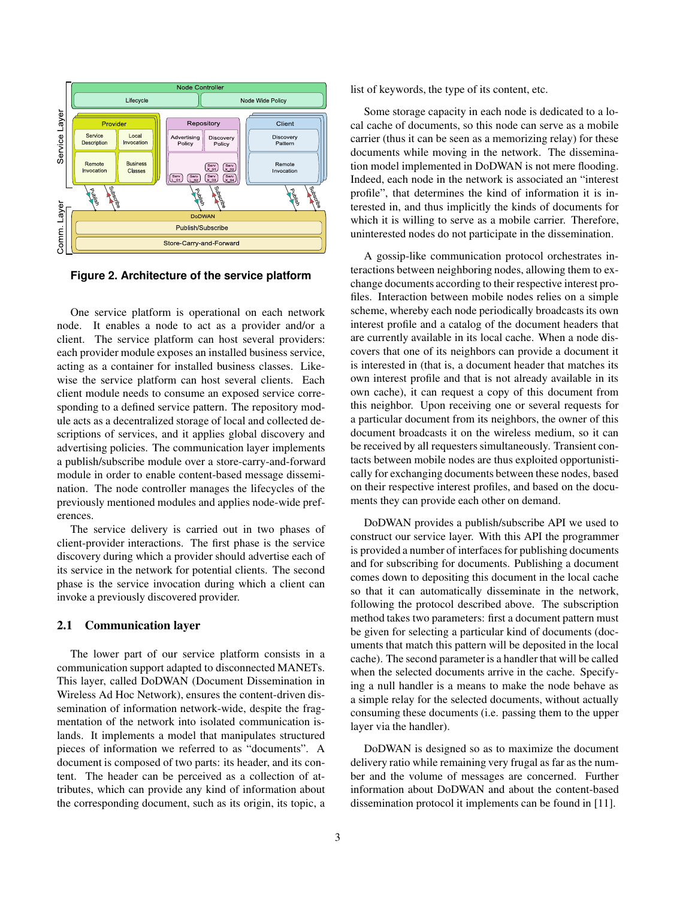

**Figure 2. Architecture of the service platform**

One service platform is operational on each network node. It enables a node to act as a provider and/or a client. The service platform can host several providers: each provider module exposes an installed business service, acting as a container for installed business classes. Likewise the service platform can host several clients. Each client module needs to consume an exposed service corresponding to a defined service pattern. The repository module acts as a decentralized storage of local and collected descriptions of services, and it applies global discovery and advertising policies. The communication layer implements a publish/subscribe module over a store-carry-and-forward module in order to enable content-based message dissemination. The node controller manages the lifecycles of the previously mentioned modules and applies node-wide preferences.

The service delivery is carried out in two phases of client-provider interactions. The first phase is the service discovery during which a provider should advertise each of its service in the network for potential clients. The second phase is the service invocation during which a client can invoke a previously discovered provider.

#### **2.1 Communication layer**

The lower part of our service platform consists in a communication support adapted to disconnected MANETs. This layer, called DoDWAN (Document Dissemination in Wireless Ad Hoc Network), ensures the content-driven dissemination of information network-wide, despite the fragmentation of the network into isolated communication islands. It implements a model that manipulates structured pieces of information we referred to as "documents". A document is composed of two parts: its header, and its content. The header can be perceived as a collection of attributes, which can provide any kind of information about the corresponding document, such as its origin, its topic, a

list of keywords, the type of its content, etc.

Some storage capacity in each node is dedicated to a local cache of documents, so this node can serve as a mobile carrier (thus it can be seen as a memorizing relay) for these documents while moving in the network. The dissemination model implemented in DoDWAN is not mere flooding. Indeed, each node in the network is associated an "interest profile", that determines the kind of information it is interested in, and thus implicitly the kinds of documents for which it is willing to serve as a mobile carrier. Therefore, uninterested nodes do not participate in the dissemination.

A gossip-like communication protocol orchestrates interactions between neighboring nodes, allowing them to exchange documents according to their respective interest profiles. Interaction between mobile nodes relies on a simple scheme, whereby each node periodically broadcasts its own interest profile and a catalog of the document headers that are currently available in its local cache. When a node discovers that one of its neighbors can provide a document it is interested in (that is, a document header that matches its own interest profile and that is not already available in its own cache), it can request a copy of this document from this neighbor. Upon receiving one or several requests for a particular document from its neighbors, the owner of this document broadcasts it on the wireless medium, so it can be received by all requesters simultaneously. Transient contacts between mobile nodes are thus exploited opportunistically for exchanging documents between these nodes, based on their respective interest profiles, and based on the documents they can provide each other on demand.

DoDWAN provides a publish/subscribe API we used to construct our service layer. With this API the programmer is provided a number of interfaces for publishing documents and for subscribing for documents. Publishing a document comes down to depositing this document in the local cache so that it can automatically disseminate in the network, following the protocol described above. The subscription method takes two parameters: first a document pattern must be given for selecting a particular kind of documents (documents that match this pattern will be deposited in the local cache). The second parameter is a handler that will be called when the selected documents arrive in the cache. Specifying a null handler is a means to make the node behave as a simple relay for the selected documents, without actually consuming these documents (i.e. passing them to the upper layer via the handler).

DoDWAN is designed so as to maximize the document delivery ratio while remaining very frugal as far as the number and the volume of messages are concerned. Further information about DoDWAN and about the content-based dissemination protocol it implements can be found in [11].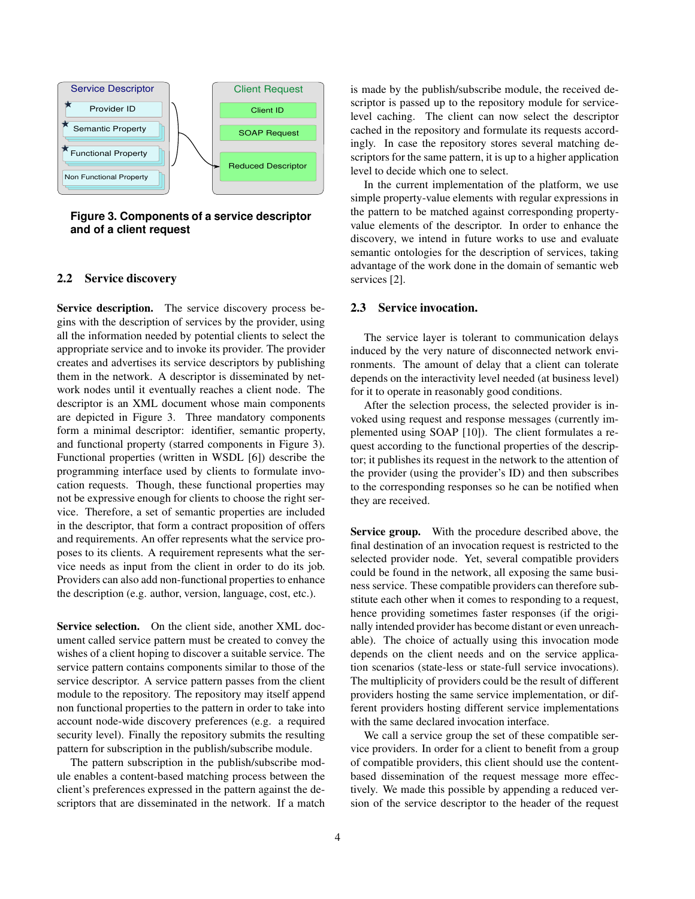

**Figure 3. Components of a service descriptor and of a client request**

#### **2.2 Service discovery**

**Service description.** The service discovery process begins with the description of services by the provider, using all the information needed by potential clients to select the appropriate service and to invoke its provider. The provider creates and advertises its service descriptors by publishing them in the network. A descriptor is disseminated by network nodes until it eventually reaches a client node. The descriptor is an XML document whose main components are depicted in Figure 3. Three mandatory components form a minimal descriptor: identifier, semantic property, and functional property (starred components in Figure 3). Functional properties (written in WSDL [6]) describe the programming interface used by clients to formulate invocation requests. Though, these functional properties may not be expressive enough for clients to choose the right service. Therefore, a set of semantic properties are included in the descriptor, that form a contract proposition of offers and requirements. An offer represents what the service proposes to its clients. A requirement represents what the service needs as input from the client in order to do its job. Providers can also add non-functional properties to enhance the description (e.g. author, version, language, cost, etc.).

**Service selection.** On the client side, another XML document called service pattern must be created to convey the wishes of a client hoping to discover a suitable service. The service pattern contains components similar to those of the service descriptor. A service pattern passes from the client module to the repository. The repository may itself append non functional properties to the pattern in order to take into account node-wide discovery preferences (e.g. a required security level). Finally the repository submits the resulting pattern for subscription in the publish/subscribe module.

The pattern subscription in the publish/subscribe module enables a content-based matching process between the client's preferences expressed in the pattern against the descriptors that are disseminated in the network. If a match is made by the publish/subscribe module, the received descriptor is passed up to the repository module for servicelevel caching. The client can now select the descriptor cached in the repository and formulate its requests accordingly. In case the repository stores several matching descriptors for the same pattern, it is up to a higher application level to decide which one to select.

In the current implementation of the platform, we use simple property-value elements with regular expressions in the pattern to be matched against corresponding propertyvalue elements of the descriptor. In order to enhance the discovery, we intend in future works to use and evaluate semantic ontologies for the description of services, taking advantage of the work done in the domain of semantic web services [2].

#### **2.3 Service invocation.**

The service layer is tolerant to communication delays induced by the very nature of disconnected network environments. The amount of delay that a client can tolerate depends on the interactivity level needed (at business level) for it to operate in reasonably good conditions.

After the selection process, the selected provider is invoked using request and response messages (currently implemented using SOAP [10]). The client formulates a request according to the functional properties of the descriptor; it publishes its request in the network to the attention of the provider (using the provider's ID) and then subscribes to the corresponding responses so he can be notified when they are received.

**Service group.** With the procedure described above, the final destination of an invocation request is restricted to the selected provider node. Yet, several compatible providers could be found in the network, all exposing the same business service. These compatible providers can therefore substitute each other when it comes to responding to a request, hence providing sometimes faster responses (if the originally intended provider has become distant or even unreachable). The choice of actually using this invocation mode depends on the client needs and on the service application scenarios (state-less or state-full service invocations). The multiplicity of providers could be the result of different providers hosting the same service implementation, or different providers hosting different service implementations with the same declared invocation interface.

We call a service group the set of these compatible service providers. In order for a client to benefit from a group of compatible providers, this client should use the contentbased dissemination of the request message more effectively. We made this possible by appending a reduced version of the service descriptor to the header of the request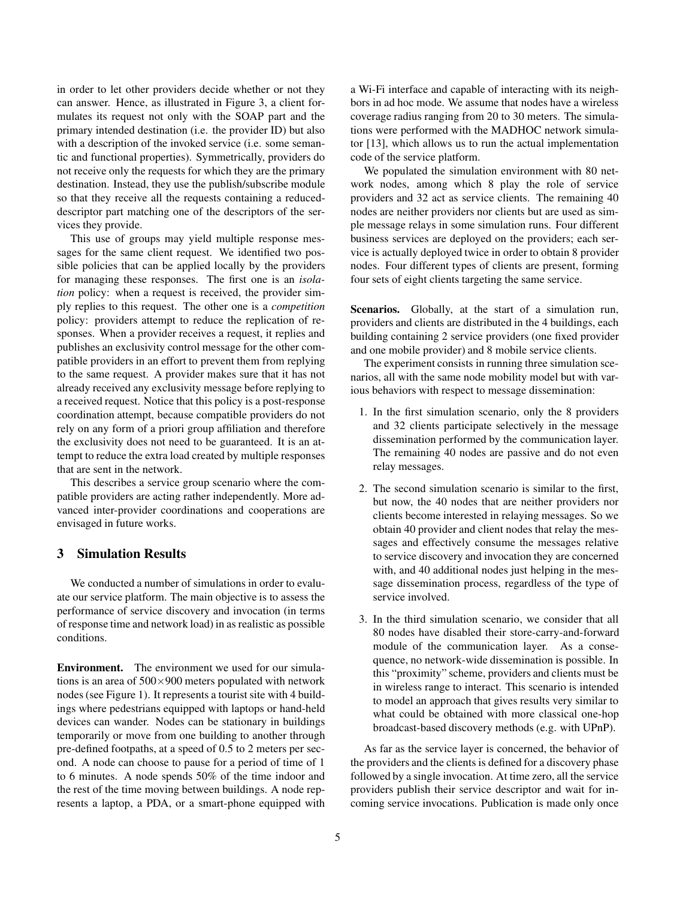in order to let other providers decide whether or not they can answer. Hence, as illustrated in Figure 3, a client formulates its request not only with the SOAP part and the primary intended destination (i.e. the provider ID) but also with a description of the invoked service (i.e. some semantic and functional properties). Symmetrically, providers do not receive only the requests for which they are the primary destination. Instead, they use the publish/subscribe module so that they receive all the requests containing a reduceddescriptor part matching one of the descriptors of the services they provide.

This use of groups may yield multiple response messages for the same client request. We identified two possible policies that can be applied locally by the providers for managing these responses. The first one is an *isolation* policy: when a request is received, the provider simply replies to this request. The other one is a *competition* policy: providers attempt to reduce the replication of responses. When a provider receives a request, it replies and publishes an exclusivity control message for the other compatible providers in an effort to prevent them from replying to the same request. A provider makes sure that it has not already received any exclusivity message before replying to a received request. Notice that this policy is a post-response coordination attempt, because compatible providers do not rely on any form of a priori group affiliation and therefore the exclusivity does not need to be guaranteed. It is an attempt to reduce the extra load created by multiple responses that are sent in the network.

This describes a service group scenario where the compatible providers are acting rather independently. More advanced inter-provider coordinations and cooperations are envisaged in future works.

## **3 Simulation Results**

We conducted a number of simulations in order to evaluate our service platform. The main objective is to assess the performance of service discovery and invocation (in terms of response time and network load) in as realistic as possible conditions.

**Environment.** The environment we used for our simulations is an area of  $500 \times 900$  meters populated with network nodes (see Figure 1). It represents a tourist site with 4 buildings where pedestrians equipped with laptops or hand-held devices can wander. Nodes can be stationary in buildings temporarily or move from one building to another through pre-defined footpaths, at a speed of 0.5 to 2 meters per second. A node can choose to pause for a period of time of 1 to 6 minutes. A node spends 50% of the time indoor and the rest of the time moving between buildings. A node represents a laptop, a PDA, or a smart-phone equipped with

a Wi-Fi interface and capable of interacting with its neighbors in ad hoc mode. We assume that nodes have a wireless coverage radius ranging from 20 to 30 meters. The simulations were performed with the MADHOC network simulator [13], which allows us to run the actual implementation code of the service platform.

We populated the simulation environment with 80 network nodes, among which 8 play the role of service providers and 32 act as service clients. The remaining 40 nodes are neither providers nor clients but are used as simple message relays in some simulation runs. Four different business services are deployed on the providers; each service is actually deployed twice in order to obtain 8 provider nodes. Four different types of clients are present, forming four sets of eight clients targeting the same service.

**Scenarios.** Globally, at the start of a simulation run, providers and clients are distributed in the 4 buildings, each building containing 2 service providers (one fixed provider and one mobile provider) and 8 mobile service clients.

The experiment consists in running three simulation scenarios, all with the same node mobility model but with various behaviors with respect to message dissemination:

- 1. In the first simulation scenario, only the 8 providers and 32 clients participate selectively in the message dissemination performed by the communication layer. The remaining 40 nodes are passive and do not even relay messages.
- 2. The second simulation scenario is similar to the first, but now, the 40 nodes that are neither providers nor clients become interested in relaying messages. So we obtain 40 provider and client nodes that relay the messages and effectively consume the messages relative to service discovery and invocation they are concerned with, and 40 additional nodes just helping in the message dissemination process, regardless of the type of service involved.
- 3. In the third simulation scenario, we consider that all 80 nodes have disabled their store-carry-and-forward module of the communication layer. As a consequence, no network-wide dissemination is possible. In this "proximity" scheme, providers and clients must be in wireless range to interact. This scenario is intended to model an approach that gives results very similar to what could be obtained with more classical one-hop broadcast-based discovery methods (e.g. with UPnP).

As far as the service layer is concerned, the behavior of the providers and the clients is defined for a discovery phase followed by a single invocation. At time zero, all the service providers publish their service descriptor and wait for incoming service invocations. Publication is made only once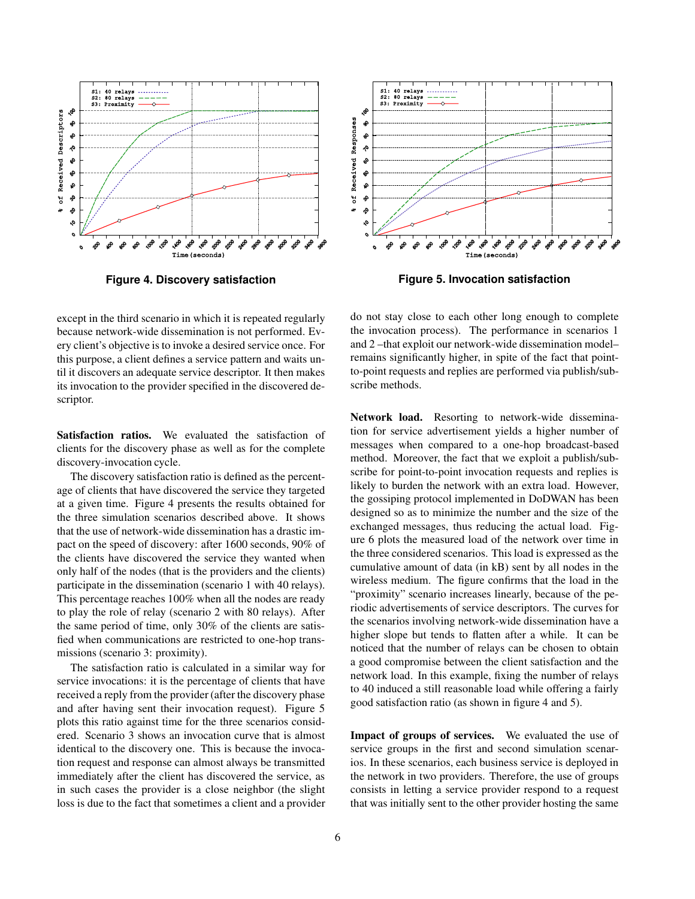

**Figure 4. Discovery satisfaction**



**Figure 5. Invocation satisfaction**

except in the third scenario in which it is repeated regularly because network-wide dissemination is not performed. Every client's objective is to invoke a desired service once. For this purpose, a client defines a service pattern and waits until it discovers an adequate service descriptor. It then makes its invocation to the provider specified in the discovered descriptor.

**Satisfaction ratios.** We evaluated the satisfaction of clients for the discovery phase as well as for the complete discovery-invocation cycle.

The discovery satisfaction ratio is defined as the percentage of clients that have discovered the service they targeted at a given time. Figure 4 presents the results obtained for the three simulation scenarios described above. It shows that the use of network-wide dissemination has a drastic impact on the speed of discovery: after 1600 seconds, 90% of the clients have discovered the service they wanted when only half of the nodes (that is the providers and the clients) participate in the dissemination (scenario 1 with 40 relays). This percentage reaches 100% when all the nodes are ready to play the role of relay (scenario 2 with 80 relays). After the same period of time, only 30% of the clients are satisfied when communications are restricted to one-hop transmissions (scenario 3: proximity).

The satisfaction ratio is calculated in a similar way for service invocations: it is the percentage of clients that have received a reply from the provider (after the discovery phase and after having sent their invocation request). Figure 5 plots this ratio against time for the three scenarios considered. Scenario 3 shows an invocation curve that is almost identical to the discovery one. This is because the invocation request and response can almost always be transmitted immediately after the client has discovered the service, as in such cases the provider is a close neighbor (the slight loss is due to the fact that sometimes a client and a provider do not stay close to each other long enough to complete the invocation process). The performance in scenarios 1 and 2 –that exploit our network-wide dissemination model– remains significantly higher, in spite of the fact that pointto-point requests and replies are performed via publish/subscribe methods.

**Network load.** Resorting to network-wide dissemination for service advertisement yields a higher number of messages when compared to a one-hop broadcast-based method. Moreover, the fact that we exploit a publish/subscribe for point-to-point invocation requests and replies is likely to burden the network with an extra load. However, the gossiping protocol implemented in DoDWAN has been designed so as to minimize the number and the size of the exchanged messages, thus reducing the actual load. Figure 6 plots the measured load of the network over time in the three considered scenarios. This load is expressed as the cumulative amount of data (in kB) sent by all nodes in the wireless medium. The figure confirms that the load in the "proximity" scenario increases linearly, because of the periodic advertisements of service descriptors. The curves for the scenarios involving network-wide dissemination have a higher slope but tends to flatten after a while. It can be noticed that the number of relays can be chosen to obtain a good compromise between the client satisfaction and the network load. In this example, fixing the number of relays to 40 induced a still reasonable load while offering a fairly good satisfaction ratio (as shown in figure 4 and 5).

**Impact of groups of services.** We evaluated the use of service groups in the first and second simulation scenarios. In these scenarios, each business service is deployed in the network in two providers. Therefore, the use of groups consists in letting a service provider respond to a request that was initially sent to the other provider hosting the same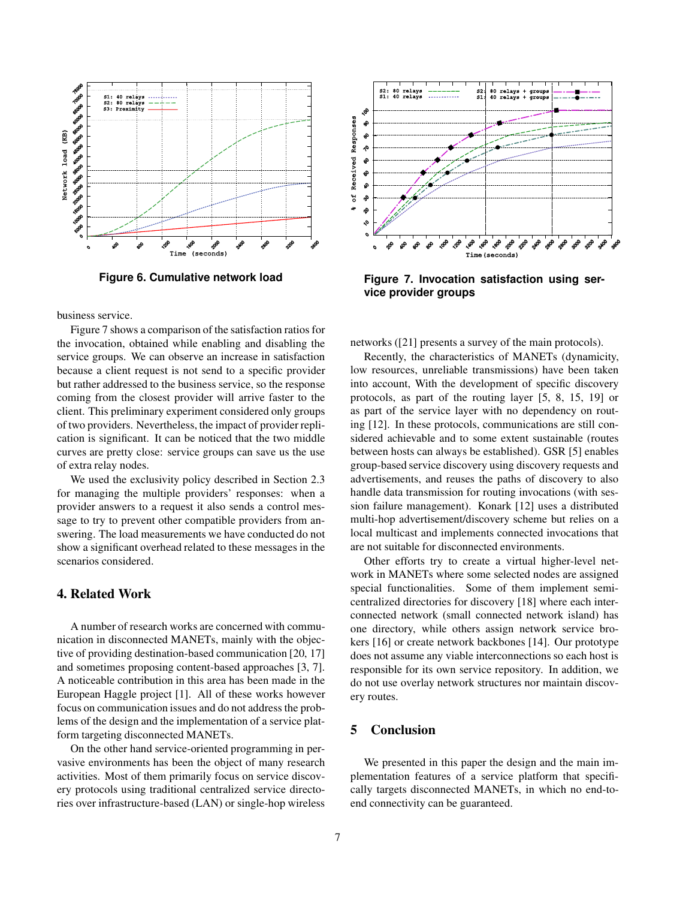

**Figure 6. Cumulative network load**

business service.

Figure 7 shows a comparison of the satisfaction ratios for the invocation, obtained while enabling and disabling the service groups. We can observe an increase in satisfaction because a client request is not send to a specific provider but rather addressed to the business service, so the response coming from the closest provider will arrive faster to the client. This preliminary experiment considered only groups of two providers. Nevertheless, the impact of provider replication is significant. It can be noticed that the two middle curves are pretty close: service groups can save us the use of extra relay nodes.

We used the exclusivity policy described in Section 2.3 for managing the multiple providers' responses: when a provider answers to a request it also sends a control message to try to prevent other compatible providers from answering. The load measurements we have conducted do not show a significant overhead related to these messages in the scenarios considered.

# **4. Related Work**

A number of research works are concerned with communication in disconnected MANETs, mainly with the objective of providing destination-based communication [20, 17] and sometimes proposing content-based approaches [3, 7]. A noticeable contribution in this area has been made in the European Haggle project [1]. All of these works however focus on communication issues and do not address the problems of the design and the implementation of a service platform targeting disconnected MANETs.

On the other hand service-oriented programming in pervasive environments has been the object of many research activities. Most of them primarily focus on service discovery protocols using traditional centralized service directories over infrastructure-based (LAN) or single-hop wireless



**Figure 7. Invocation satisfaction using service provider groups**

networks ([21] presents a survey of the main protocols).

Recently, the characteristics of MANETs (dynamicity, low resources, unreliable transmissions) have been taken into account, With the development of specific discovery protocols, as part of the routing layer [5, 8, 15, 19] or as part of the service layer with no dependency on routing [12]. In these protocols, communications are still considered achievable and to some extent sustainable (routes between hosts can always be established). GSR [5] enables group-based service discovery using discovery requests and advertisements, and reuses the paths of discovery to also handle data transmission for routing invocations (with session failure management). Konark [12] uses a distributed multi-hop advertisement/discovery scheme but relies on a local multicast and implements connected invocations that are not suitable for disconnected environments.

Other efforts try to create a virtual higher-level network in MANETs where some selected nodes are assigned special functionalities. Some of them implement semicentralized directories for discovery [18] where each interconnected network (small connected network island) has one directory, while others assign network service brokers [16] or create network backbones [14]. Our prototype does not assume any viable interconnections so each host is responsible for its own service repository. In addition, we do not use overlay network structures nor maintain discovery routes.

# **5 Conclusion**

We presented in this paper the design and the main implementation features of a service platform that specifically targets disconnected MANETs, in which no end-toend connectivity can be guaranteed.